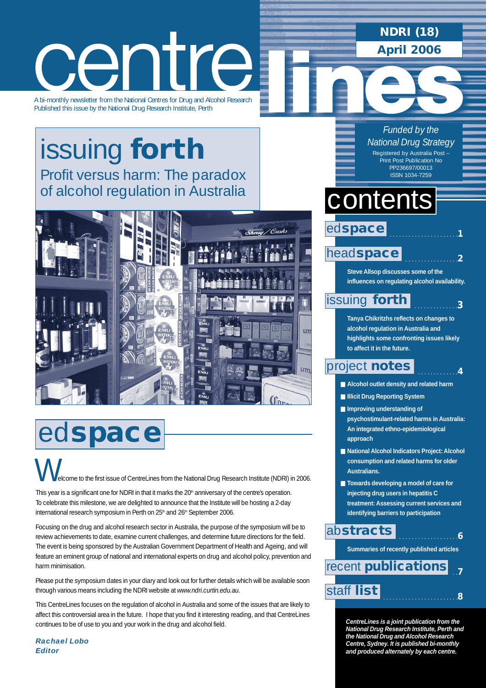### **NDRI (18) April 2006**



A bi-monthly newsletter from the National Centres for Drug and Alcohol Research Published this issue by the National Drug Research Institute, Perth

### issuing **forth** [Profit versus harm: The paradox](#page-2-0) of alcohol regulation in Australia



## ed**space**

elcome to the first issue of CentreLines from the National Drug Research Institute (NDRI) in 2006.  $\bigvee$ 

This year is a significant one for NDRI in that it marks the 20<sup>th</sup> anniversary of the centre's operation. To celebrate this milestone, we are delighted to announce that the Institute will be hosting a 2-day international research symposium in Perth on 25<sup>th</sup> and 26<sup>th</sup> September 2006.

Focusing on the drug and alcohol research sector in Australia, the purpose of the symposium will be to review achievements to date, examine current challenges, and determine future directions for the field. The event is being sponsored by the Australian Government Department of Health and Ageing, and will feature an eminent group of national and international experts on drug and alcohol policy, prevention and harm minimisation.

Please put the symposium dates in your diary and look out for further details which will be available soon through various means including the NDRI website at *www.ndri.curtin.edu.au*.

This CentreLines focuses on the regulation of alcohol in Australia and some of the issues that are likely to affect this controversial area in the future. I hope that you find it interesting reading, and that CentreLines continues to be of use to you and your work in the drug and alcohol field.

*Rachael Lobo Editor*

*Funded by the National Drug Strategy* Registered by Australia Post – Print Post Publication No PP236697/00013 ISSN 1034-7259

## **contents**

ed**space**

#### . . . . . . . . . . . . . . . . .**2** head**[space](#page-1-0)**

**Steve Allsop discusses some of the influences on regulating alcohol availability.** 

. . . . . . . . . . . . . . . . . . . . . .**1**

. . . . . . . . . . . . . .**3**

. . . . . . . . . . . . .**4**

### [issuing](#page-2-0) **forth**

**Tanya Chikritzhs reflects on changes to alcohol regulation in Australia and highlights some confronting issues likely to affect it in the future.** 

### [project](#page-3-0) **notes**

- **Alcohol outlet density and related harm**
- **Illicit Drug Reporting System**
- **Improving understanding of psychostimulant-related harms in Australia: An integrated ethno-epidemiological approach**
- **National Alcohol Indicators Project: Alcohol consumption and related harms for older Australians.**
- **Towards developing a model of care for injecting drug users in hepatitis C treatment: Assessing current services and identifying barriers to participation**

### ab**[stracts](#page-5-0)**

**Summaries of recently published articles** 

. . . . . . . . . . . . . . . . . . .**6**

 . .**7** . . . . . . . . . . . . . . . . . . . . . . . .**<sup>8</sup>** [staff](#page-7-0) **list** recent **[publications](#page-6-0)**

> **CentreLines is a joint publication from the National Drug Research Institute, Perth and the National Drug and Alcohol Research Centre, Sydney. It is published bi-monthly and produced alternately by each centre.**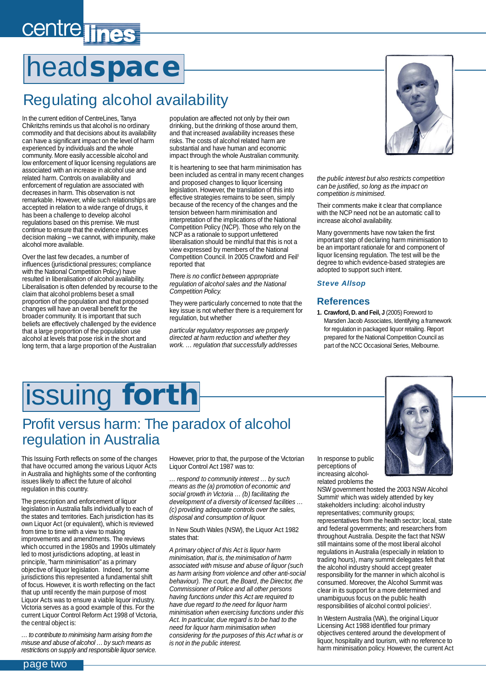## <span id="page-1-0"></span>centre lines

# head**space**

### Regulating alcohol availability

In the current edition of CentreLines, Tanya Chikritzhs reminds us that alcohol is no ordinary commodity and that decisions about its availability can have a significant impact on the level of harm experienced by individuals and the whole community. More easily accessible alcohol and low enforcement of liquor licensing regulations are associated with an increase in alcohol use and related harm. Controls on availability and enforcement of regulation are associated with decreases in harm. This observation is not remarkable. However, while such relationships are accepted in relation to a wide range of drugs, it has been a challenge to develop alcohol regulations based on this premise. We must continue to ensure that the evidence influences decision making – we cannot, with impunity, make alcohol more available.

Over the last few decades, a number of influences (jurisdictional pressures; compliance with the National Competition Policy) have resulted in liberalisation of alcohol availability. Liberalisation is often defended by recourse to the claim that alcohol problems beset a small proportion of the population and that proposed changes will have an overall benefit for the broader community. It is important that such beliefs are effectively challenged by the evidence that a large proportion of the population use alcohol at levels that pose risk in the short and long term, that a large proportion of the Australian

population are affected not only by their own drinking, but the drinking of those around them, and that increased availability increases these risks. The costs of alcohol related harm are substantial and have human and economic impact through the whole Australian community.

It is heartening to see that harm minimisation has been included as central in many recent changes and proposed changes to liquor licensing legislation. However, the translation of this into effective strategies remains to be seen, simply because of the recency of the changes and the tension between harm minimisation and interpretation of the implications of the National Competition Policy (NCP). Those who rely on the NCP as a rationale to support unfettered liberalisation should be mindful that this is not a view expressed by members of the National Competition Council. In 2005 Crawford and Feil<sup>1</sup> reported that

*There is no conflict between appropriate regulation of alcohol sales and the National Competition Policy.*

They were particularly concerned to note that the key issue is not whether there is a requirement for regulation, but whether

*particular regulatory responses are properly directed at harm reduction and whether they work. … regulation that successfully addresses* 



*the public interest but also restricts competition can be justified, so long as the impact on competition is minimised.*

Their comments make it clear that compliance with the NCP need not be an automatic call to increase alcohol availability.

Many governments have now taken the first important step of declaring harm minimisation to be an important rationale for and component of liquor licensing regulation. The test will be the degree to which evidence-based strategies are adopted to support such intent.

#### *Steve Allsop*

### **References**

**1. Crawford, D. and Feil, J** (2005) Foreword to Marsden Jacob Associates, Identifying a framework for regulation in packaged liquor retailing. Report prepared for the National Competition Council as part of the NCC Occasional Series, Melbourne.

## issuing **forth**

### Profit versus harm: The paradox of alcohol regulation in Australia

This Issuing Forth reflects on some of the changes that have occurred among the various Liquor Acts in Australia and highlights some of the confronting issues likely to affect the future of alcohol regulation in this country.

The prescription and enforcement of liquor legislation in Australia falls individually to each of the states and territories. Each jurisdiction has its own Liquor Act (or equivalent), which is reviewed from time to time with a view to making improvements and amendments. The reviews which occurred in the 1980s and 1990s ultimately led to most jurisdictions adopting, at least in principle, "harm minimisation" as a primary objective of liquor legislation. Indeed, for some jurisdictions this represented a fundamental shift of focus. However, it is worth reflecting on the fact that up until recently the main purpose of most Liquor Acts was to ensure a viable liquor industry. Victoria serves as a good example of this. For the current Liquor Control Reform Act 1998 of Victoria, the central object is:

*… to contribute to minimising harm arising from the misuse and abuse of alcohol … by such means as restrictions on supply and responsible liquor service.* However, prior to that, the purpose of the Victorian Liquor Control Act 1987 was to:

*… respond to community interest … by such means as the (a) promotion of economic and social growth in Victoria … (b) facilitating the development of a diversity of licensed facilities … (c) providing adequate controls over the sales, disposal and consumption of liquor.*

In New South Wales (NSW), the Liquor Act 1982 states that:

*A primary object of this Act is liquor harm minimisation, that is, the minimisation of harm associated with misuse and abuse of liquor (such as harm arising from violence and other anti-social behaviour). The court, the Board, the Director, the Commissioner of Police and all other persons having functions under this Act are required to have due regard to the need for liquor harm minimisation when exercising functions under this Act. In particular, due regard is to be had to the need for liquor harm minimisation when considering for the purposes of this Act what is or is not in the public interest.*

In response to public perceptions of increasing alcoholrelated problems the

NSW government hosted the 2003 NSW Alcohol Summit<sup>1</sup> which was widely attended by key stakeholders including: alcohol industry representatives; community groups; representatives from the health sector; local, state and federal governments; and researchers from throughout Australia. Despite the fact that NSW still maintains some of the most liberal alcohol regulations in Australia (especially in relation to trading hours), many summit delegates felt that the alcohol industry should accept greater responsibility for the manner in which alcohol is consumed. Moreover, the Alcohol Summit was clear in its support for a more determined and unambiguous focus on the public health responsibilities of alcohol control policies<sup>2</sup>.

In Western Australia (WA), the original Liquor Licensing Act 1988 identified four primary objectives centered around the development of liquor, hospitality and tourism, with no reference to harm minimisation policy. However, the current Act

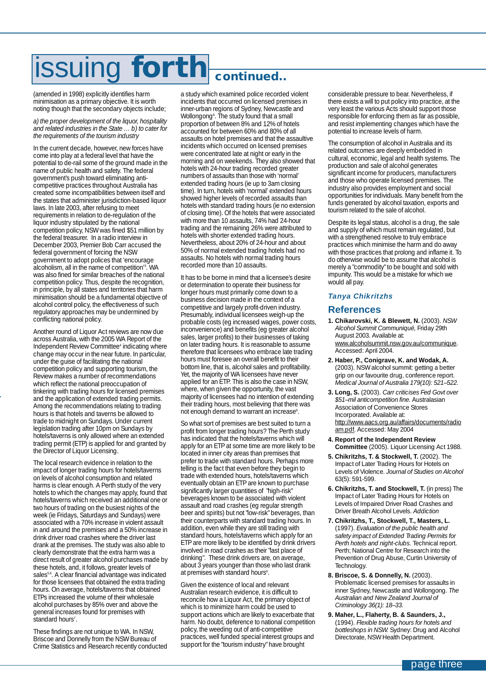## <span id="page-2-0"></span>issuing **forth continued..**

(amended in 1998) explicitly identifies harm minimisation as a primary objective. It is worth noting though that the secondary objects include;

*a) the proper development of the liquor, hospitality and related industries in the State … b) to cater for the requirements of the tourism industry*

In the current decade, however, new forces have come into play at a federal level that have the potential to de-rail some of the ground made in the name of public health and safety. The federal government's push toward eliminating anticompetitive practices throughout Australia has created some incompatibilities between itself and the states that administer jurisdiction-based liquor laws. In late 2003, after refusing to meet requirements in relation to de-regulation of the liquor industry stipulated by the national competition policy, NSW was fined \$51 million by the federal treasurer. In a radio interview in December 2003, Premier Bob Carr accused the federal government of forcing the NSW government to adopt polices that 'encourage alcoholism, all in the name of competition<sup>3</sup>. WA was also fined for similar breaches of the national competition policy. Thus, despite the recognition, in principle, by all states and territories that harm minimisation should be a fundamental objective of alcohol control policy, the effectiveness of such regulatory approaches may be undermined by conflicting national policy.

Another round of Liquor Act reviews are now due across Australia, with the 2005 WA Report of the Independent Review Committee<sup>4</sup> indicating where change may occur in the near future. In particular, under the guise of facilitating the national competition policy and supporting tourism, the Review makes a number of recommendations which reflect the national preoccupation of tinkering with trading hours for licensed premises and the application of extended trading permits. Among the recommendations relating to trading hours is that hotels and taverns be allowed to trade to midnight on Sundays. Under current legislation trading after 10pm on Sundays by hotels/taverns is only allowed where an extended trading permit (ETP) is applied for and granted by the Director of Liquor Licensing.

The local research evidence in relation to the impact of longer trading hours for hotels/taverns on levels of alcohol consumption and related harms is clear enough. A Perth study of the very hotels to which the changes may apply, found that hotels/taverns which received an additional one or two hours of trading on the busiest nights of the week (ie Fridays, Saturdays and Sundays) were associated with a 70% increase in violent assault in and around the premises and a 50% increase in drink driver road crashes where the driver last drank at the premises. The study was also able to clearly demonstrate that the extra harm was a direct result of greater alcohol purchases made by these hotels, and, it follows, greater levels of sales<sup>5,6</sup>. A clear financial advantage was indicated for those licensees that obtained the extra trading hours. On average, hotels/taverns that obtained ETPs increased the volume of their wholesale alcohol purchases by 85% over and above the general increases found for premises with standard hours<sup>7</sup>.

These findings are not unique to WA. In NSW, Briscoe and Donnelly from the NSW Bureau of Crime Statistics and Research recently conducted a study which examined police recorded violent incidents that occurred on licensed premises in inner-urban regions of Sydney, Newcastle and Wollongong8 . The study found that a small proportion of between 8% and 12% of hotels accounted for between 60% and 80% of all assaults on hotel premises and that the assaultive incidents which occurred on licensed premises were concentrated late at night or early in the morning and on weekends. They also showed that hotels with 24-hour trading recorded greater numbers of assaults than those with 'normal' extended trading hours (ie up to 3am closing time). In turn, hotels with 'normal' extended hours showed higher levels of recorded assaults than hotels with standard trading hours (ie no extension of closing time). Of the hotels that were associated with more than 10 assaults, 74% had 24-hour trading and the remaining 26% were attributed to hotels with shorter extended trading hours. Nevertheless, about 20% of 24-hour and about 50% of normal extended trading hotels had no assaults. No hotels with normal trading hours recorded more than 10 assaults.

It has to be borne in mind that a licensee's desire or determination to operate their business for longer hours must primarily come down to a business decision made in the context of a competitive and largely profit-driven industry. Presumably, individual licensees weigh-up the probable costs (eg increased wages, power costs, inconvenience) and benefits (eg greater alcohol sales, larger profits) to their businesses of taking on later trading hours. It is reasonable to assume therefore that licensees who embrace late trading hours must foresee an overall benefit to their bottom line, that is, alcohol sales and profitability. Yet, the majority of WA licensees have never applied for an ETP. This is also the case in NSW, where, when given the opportunity, the vast majority of licensees had no intention of extending their trading hours, most believing that there was not enough demand to warrant an increase<sup>9</sup> .

So what sort of premises are best suited to turn a profit from longer trading hours? The Perth study has indicated that the hotels/taverns which will apply for an ETP at some time are more likely to be located in inner city areas than premises that prefer to trade with standard hours. Perhaps more telling is the fact that even before they begin to trade with extended hours, hotels/taverns which eventually obtain an ETP are known to purchase significantly larger quantities of "high-risk" beverages known to be associated with violent assault and road crashes (eg regular strength beer and spirits) but not "low-risk" beverages, than their counterparts with standard trading hours. In addition, even while they are still trading with standard hours, hotels/taverns which apply for an ETP are more likely to be identified by drink drivers involved in road crashes as their "last place of drinking". These drink drivers are, on average, about 3 years younger than those who last drank at premises with standard hours<sup>6</sup>.

Given the existence of local and relevant Australian research evidence, it is difficult to reconcile how a Liquor Act, the primary object of which is to minimize harm could be used to support actions which are likely to exacerbate that harm. No doubt, deference to national competition policy, the weeding out of anti-competitive practices, well funded special interest groups and support for the "tourism industry" have brought

considerable pressure to bear. Nevertheless, if there exists a will to put policy into practice, at the very least the various Acts should support those responsible for enforcing them as far as possible, and resist implementing changes which have the potential to increase levels of harm.

The consumption of alcohol in Australia and its related outcomes are deeply embedded in cultural, economic, legal and health systems. The production and sale of alcohol generates significant income for producers, manufacturers and those who operate licensed premises. The industry also provides employment and social opportunities for individuals. Many benefit from the funds generated by alcohol taxation, exports and tourism related to the sale of alcohol.

Despite its legal status, alcohol is a drug, the sale and supply of which must remain regulated, but with a strengthened resolve to truly embrace practices which minimise the harm and do away with those practices that prolong and inflame it. To do otherwise would be to assume that alcohol is merely a "commodity" to be bought and sold with impunity. This would be a mistake for which we would all pay.

### *Tanya Chikritzhs*

### **References**

- **1. Chikarovski, K. & Blewett, N.** (2003). *NSW Alcohol Summit Communiqué,* Friday 29th August 2003. Available at: www.alcoholsummit.nsw.gov.au/communique. Accessed: April 2004.
- **2. Haber, P., Conigrave, K. and Wodak, A.** (2003). NSW alcohol summit: getting a better grip on our favourite drug, conference report. *Medical Journal of Australia 179(10): 521–522.*
- **3. Long, S.** (2003). *Carr criticises Fed Govt over \$51–mil anticompetition fine.* Australasian Association of Convenience Stores Incorporated. Available at: http://www.aacs.org.au/affairs/documents/radio am.pdf. Accessed: May 2004
- **4. Report of the Independent Review Committee** (2005). Liquor Licensing Act 1988.
- **5. Chikritzhs, T. & Stockwell, T.** (2002). The Impact of Later Trading Hours for Hotels on Levels of Violence. *Journal of Studies on Alcohol* 63(5): 591-599.
- **6. Chikritzhs, T. and Stockwell, T.** (in press) The Impact of Later Trading Hours for Hotels on Levels of Impaired Driver Road Crashes and Driver Breath Alcohol Levels. *Addiction*
- **7. Chikritzhs, T., Stockwell, T., Masters, L.** (1997). *Evaluation of the public health and safety impact of Extended Trading Permits for Perth hotels and night-clubs.* Technical report. Perth; National Centre for Research into the Prevention of Drug Abuse, Curtin University of Technology.
- **8. Briscoe, S. & Donnelly, N.** (2003). Problematic licensed premises for assaults in inner Sydney, Newcastle and Wollongong. *The Australian and New Zealand Journal of Criminology 36(1): 18–33.*
- **9. Maher, L., Flaherty, B. & Saunders, J.,** (1994). *Flexible trading hours for hotels and bottleshops in NSW.* Sydney: Drug and Alcohol Directorate, NSW Health Department.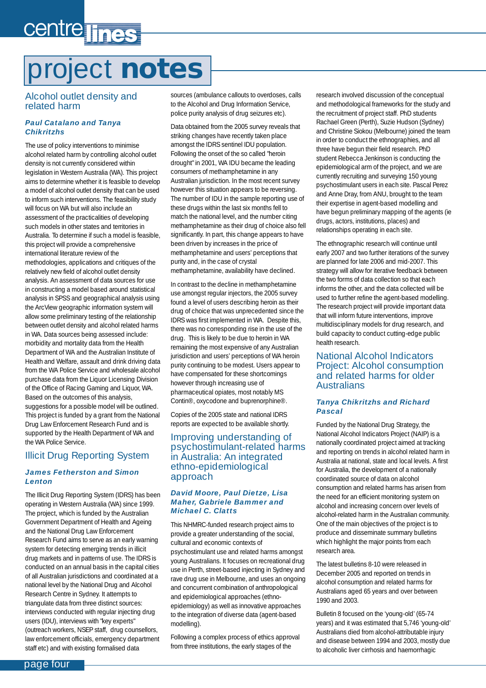## <span id="page-3-0"></span>centre lines

## project **notes**

### Alcohol outlet density and related harm

### *Paul Catalano and Tanya Chikritzhs*

The use of policy interventions to minimise alcohol related harm by controlling alcohol outlet density is not currently considered within legislation in Western Australia (WA). This project aims to determine whether it is feasible to develop a model of alcohol outlet density that can be used to inform such interventions. The feasibility study will focus on WA but will also include an assessment of the practicalities of developing such models in other states and territories in Australia. To determine if such a model is feasible, this project will provide a comprehensive international literature review of the methodologies, applications and critiques of the relatively new field of alcohol outlet density analysis. An assessment of data sources for use in constructing a model based around statistical analysis in SPSS and geographical analysis using the ArcView geographic information system will allow some preliminary testing of the relationship between outlet density and alcohol related harms in WA. Data sources being assessed include: morbidity and mortality data from the Health Department of WA and the Australian Institute of Health and Welfare, assault and drink driving data from the WA Police Service and wholesale alcohol purchase data from the Liquor Licensing Division of the Office of Racing Gaming and Liquor, WA. Based on the outcomes of this analysis, suggestions for a possible model will be outlined. This project is funded by a grant from the National Drug Law Enforcement Research Fund and is supported by the Health Department of WA and the WA Police Service.

### Illicit Drug Reporting System

### *James Fetherston and Simon Lenton*

The Illicit Drug Reporting System (IDRS) has been operating in Western Australia (WA) since 1999. The project, which is funded by the Australian Government Department of Health and Ageing and the National Drug Law Enforcement Research Fund aims to serve as an early warning system for detecting emerging trends in illicit drug markets and in patterns of use. The IDRS is conducted on an annual basis in the capital cities of all Australian jurisdictions and coordinated at a national level by the National Drug and Alcohol Research Centre in Sydney. It attempts to triangulate data from three distinct sources: interviews conducted with regular injecting drug users (IDU), interviews with "key experts" (outreach workers, NSEP staff, drug counsellors, law enforcement officials, emergency department staff etc) and with existing formalised data

sources (ambulance callouts to overdoses, calls to the Alcohol and Drug Information Service, police purity analysis of drug seizures etc).

Data obtained from the 2005 survey reveals that striking changes have recently taken place amongst the IDRS sentinel IDU population. Following the onset of the so called "heroin drought" in 2001, WA IDU became the leading consumers of methamphetamine in any Australian jurisdiction. In the most recent survey however this situation appears to be reversing. The number of IDU in the sample reporting use of these drugs within the last six months fell to match the national level, and the number citing methamphetamine as their drug of choice also fell significantly. In part, this change appears to have been driven by increases in the price of methamphetamine and users' perceptions that purity and, in the case of crystal methamphetamine, availability have declined.

In contrast to the decline in methamphetamine use amongst regular injectors, the 2005 survey found a level of users describing heroin as their drug of choice that was unprecedented since the IDRS was first implemented in WA. Despite this, there was no corresponding rise in the use of the drug. This is likely to be due to heroin in WA remaining the most expensive of any Australian jurisdiction and users' perceptions of WA heroin purity continuing to be modest. Users appear to have compensated for these shortcomings however through increasing use of pharmaceutical opiates, most notably MS Contin®, oxycodone and buprenorphine®.

Copies of the 2005 state and national IDRS reports are expected to be available shortly.

### Improving understanding of psychostimulant-related harms in Australia: An integrated ethno-epidemiological approach

#### *David Moore, Paul Dietze, Lisa Maher, Gabriele Bammer and Michael C. Clatts*

This NHMRC-funded research project aims to provide a greater understanding of the social, cultural and economic contexts of psychostimulant use and related harms amongst young Australians. It focuses on recreational drug use in Perth, street-based injecting in Sydney and rave drug use in Melbourne, and uses an ongoing and concurrent combination of anthropological and epidemiological approaches (ethnoepidemiology) as well as innovative approaches to the integration of diverse data (agent-based modelling).

Following a complex process of ethics approval from three institutions, the early stages of the

research involved discussion of the conceptual and methodological frameworks for the study and the recruitment of project staff. PhD students Rachael Green (Perth), Suzie Hudson (Sydney) and Christine Siokou (Melbourne) joined the team in order to conduct the ethnographies, and all three have begun their field research. PhD student Rebecca Jenkinson is conducting the epidemiological arm of the project, and we are currently recruiting and surveying 150 young psychostimulant users in each site. Pascal Perez and Anne Dray, from ANU, brought to the team their expertise in agent-based modelling and have begun preliminary mapping of the agents (ie drugs, actors, institutions, places) and relationships operating in each site.

The ethnographic research will continue until early 2007 and two further iterations of the survey are planned for late 2006 and mid-2007. This strategy will allow for iterative feedback between the two forms of data collection so that each informs the other, and the data collected will be used to further refine the agent-based modelling. The research project will provide important data that will inform future interventions, improve multidisciplinary models for drug research, and build capacity to conduct cutting-edge public health research.

### National Alcohol Indicators Project: Alcohol consumption and related harms for older Australians

#### *Tanya Chikritzhs and Richard Pascal*

Funded by the National Drug Strategy, the National Alcohol Indicators Project (NAIP) is a nationally coordinated project aimed at tracking and reporting on trends in alcohol related harm in Australia at national, state and local levels. A first for Australia, the development of a nationally coordinated source of data on alcohol consumption and related harms has arisen from the need for an efficient monitoring system on alcohol and increasing concern over levels of alcohol-related harm in the Australian community. One of the main objectives of the project is to produce and disseminate summary bulletins which highlight the major points from each research area.

The latest bulletins 8-10 were released in December 2005 and reported on trends in alcohol consumption and related harms for Australians aged 65 years and over between 1990 and 2003.

Bulletin 8 focused on the 'young-old' (65-74 years) and it was estimated that 5,746 'young-old' Australians died from alcohol-attributable injury and disease between 1994 and 2003, mostly due to alcoholic liver cirrhosis and haemorrhagic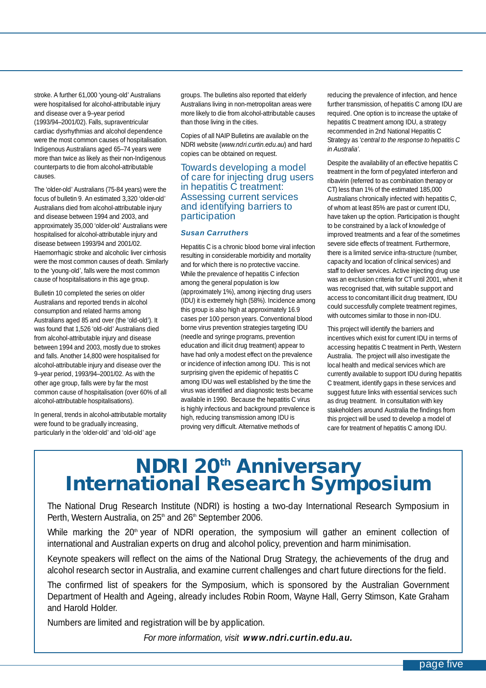stroke. A further 61,000 'young-old' Australians were hospitalised for alcohol-attributable injury and disease over a 9–year period (1993/94–2001/02). Falls, supraventricular cardiac dysrhythmias and alcohol dependence were the most common causes of hospitalisation. Indigenous Australians aged 65–74 years were more than twice as likely as their non-Indigenous counterparts to die from alcohol-attributable causes.

The 'older-old' Australians (75-84 years) were the focus of bulletin 9. An estimated 3,320 'older-old' Australians died from alcohol-attributable injury and disease between 1994 and 2003, and approximately 35,000 'older-old' Australians were hospitalised for alcohol-attributable injury and disease between 1993/94 and 2001/02. Haemorrhagic stroke and alcoholic liver cirrhosis were the most common causes of death. Similarly to the 'young-old', falls were the most common cause of hospitalisations in this age group.

Bulletin 10 completed the series on older Australians and reported trends in alcohol consumption and related harms among Australians aged 85 and over (the 'old-old'). It was found that 1,526 'old-old' Australians died from alcohol-attributable injury and disease between 1994 and 2003, mostly due to strokes and falls. Another 14,800 were hospitalised for alcohol-attributable injury and disease over the 9–year period, 1993/94–2001/02. As with the other age group, falls were by far the most common cause of hospitalisation (over 60% of all alcohol-attributable hospitalisations).

In general, trends in alcohol-attributable mortality were found to be gradually increasing, particularly in the 'older-old' and 'old-old' age

groups. The bulletins also reported that elderly Australians living in non-metropolitan areas were more likely to die from alcohol-attributable causes than those living in the cities.

Copies of all NAIP Bulletins are available on the NDRI website (*www.ndri.curtin.edu.au*) and hard copies can be obtained on request.

### Towards developing a model of care for injecting drug users in hepatitis C treatment: Assessing current services and identifying barriers to participation

#### *Susan Carruthers*

Hepatitis C is a chronic blood borne viral infection resulting in considerable morbidity and mortality and for which there is no protective vaccine. While the prevalence of hepatitis C infection among the general population is low (approximately 1%), among injecting drug users (IDU) it is extremely high (58%). Incidence among this group is also high at approximately 16.9 cases per 100 person years. Conventional blood borne virus prevention strategies targeting IDU (needle and syringe programs, prevention education and illicit drug treatment) appear to have had only a modest effect on the prevalence or incidence of infection among IDU. This is not surprising given the epidemic of hepatitis C among IDU was well established by the time the virus was identified and diagnostic tests became available in 1990. Because the hepatitis C virus is highly infectious and background prevalence is high, reducing transmission among IDU is proving very difficult. Alternative methods of

reducing the prevalence of infection, and hence further transmission, of hepatitis C among IDU are required. One option is to increase the uptake of hepatitis C treatment among IDU, a strategy recommended in 2nd National Hepatitis C Strategy as *'central to the response to hepatitis C in Australia'*.

Despite the availability of an effective hepatitis C treatment in the form of pegylated interferon and ribavirin (referred to as combination therapy or CT) less than 1% of the estimated 185,000 Australians chronically infected with hepatitis C, of whom at least 85% are past or current IDU, have taken up the option. Participation is thought to be constrained by a lack of knowledge of improved treatments and a fear of the sometimes severe side effects of treatment. Furthermore, there is a limited service infra-structure (number, capacity and location of clinical services) and staff to deliver services. Active injecting drug use was an exclusion criteria for CT until 2001, when it was recognised that, with suitable support and access to concomitant illicit drug treatment, IDU could successfully complete treatment regimes, with outcomes similar to those in non-IDU.

This project will identify the barriers and incentives which exist for current IDU in terms of accessing hepatitis C treatment in Perth, Western Australia. The project will also investigate the local health and medical services which are currently available to support IDU during hepatitis C treatment, identify gaps in these services and suggest future links with essential services such as drug treatment. In consultation with key stakeholders around Australia the findings from this project will be used to develop a model of care for treatment of hepatitis C among IDU.

# **NDRI 20th Anniversary International Research Symposium**

The National Drug Research Institute (NDRI) is hosting a two-day International Research Symposium in Perth, Western Australia, on 25<sup>th</sup> and 26<sup>th</sup> September 2006.

While marking the  $20<sup>th</sup>$  year of NDRI operation, the symposium will gather an eminent collection of international and Australian experts on drug and alcohol policy, prevention and harm minimisation.

Keynote speakers will reflect on the aims of the National Drug Strategy, the achievements of the drug and alcohol research sector in Australia, and examine current challenges and chart future directions for the field.

The confirmed list of speakers for the Symposium, which is sponsored by the Australian Government Department of Health and Ageing, already includes Robin Room, Wayne Hall, Gerry Stimson, Kate Graham and Harold Holder.

Numbers are limited and registration will be by application.

*For more information, visit www.ndri.curtin.edu.au.*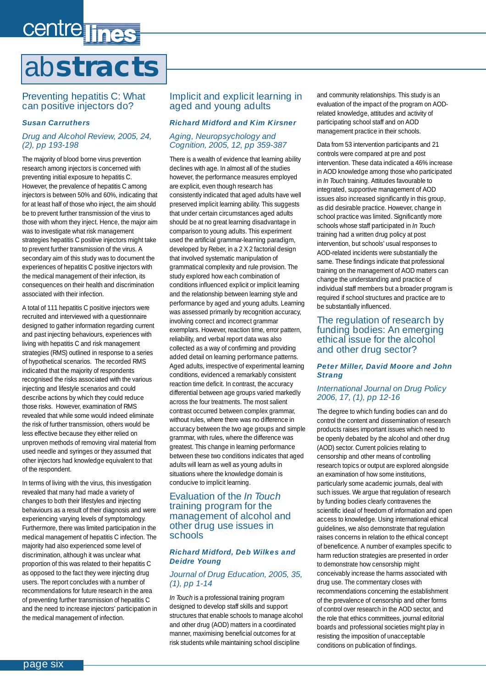## <span id="page-5-0"></span>centre lines ab**stracts**

### Preventing hepatitis C: What can positive injectors do?

#### *Susan Carruthers*

### *Drug and Alcohol Review, 2005, 24, (2), pp 193-198*

The majority of blood borne virus prevention research among injectors is concerned with preventing initial exposure to hepatitis C. However, the prevalence of hepatitis C among injectors is between 50% and 60%, indicating that for at least half of those who inject, the aim should be to prevent further transmission of the virus to those with whom they inject. Hence, the major aim was to investigate what risk management strategies hepatitis C positive injectors might take to prevent further transmission of the virus. A secondary aim of this study was to document the experiences of hepatitis C positive injectors with the medical management of their infection, its consequences on their health and discrimination associated with their infection.

A total of 111 hepatitis C positive injectors were recruited and interviewed with a questionnaire designed to gather information regarding current and past injecting behaviours, experiences with living with hepatitis C and risk management strategies (RMS) outlined in response to a series of hypothetical scenarios. The recorded RMS indicated that the majority of respondents recognised the risks associated with the various injecting and lifestyle scenarios and could describe actions by which they could reduce those risks. However, examination of RMS revealed that while some would indeed eliminate the risk of further transmission, others would be less effective because they either relied on unproven methods of removing viral material from used needle and syringes or they assumed that other injectors had knowledge equivalent to that of the respondent.

In terms of living with the virus, this investigation revealed that many had made a variety of changes to both their lifestyles and injecting behaviours as a result of their diagnosis and were experiencing varying levels of symptomology. Furthermore, there was limited participation in the medical management of hepatitis C infection. The majority had also experienced some level of discrimination, although it was unclear what proportion of this was related to their hepatitis C as opposed to the fact they were injecting drug users. The report concludes with a number of recommendations for future research in the area of preventing further transmission of hepatitis C and the need to increase injectors' participation in the medical management of infection.

### Implicit and explicit learning in aged and young adults

### *Richard Midford and Kim Kirsner*

### *Aging, Neuropsychology and Cognition, 2005, 12, pp 359-387*

There is a wealth of evidence that learning ability declines with age. In almost all of the studies however, the performance measures employed are explicit, even though research has consistently indicated that aged adults have well preserved implicit learning ability. This suggests that under certain circumstances aged adults should be at no great learning disadvantage in comparison to young adults. This experiment used the artificial grammar-learning paradigm, developed by Reber, in a 2 X 2 factorial design that involved systematic manipulation of grammatical complexity and rule provision. The study explored how each combination of conditions influenced explicit or implicit learning and the relationship between learning style and performance by aged and young adults. Learning was assessed primarily by recognition accuracy, involving correct and incorrect grammar exemplars. However, reaction time, error pattern, reliability, and verbal report data was also collected as a way of confirming and providing added detail on learning performance patterns. Aged adults, irrespective of experimental learning conditions, evidenced a remarkably consistent reaction time deficit. In contrast, the accuracy differential between age groups varied markedly across the four treatments. The most salient contrast occurred between complex grammar, without rules, where there was no difference in accuracy between the two age groups and simple grammar, with rules, where the difference was greatest. This change in learning performance between these two conditions indicates that aged adults will learn as well as young adults in situations where the knowledge domain is conducive to implicit learning.

### Evaluation of the *In Touch* training program for the management of alcohol and other drug use issues in schools

### *Richard Midford, Deb Wilkes and Deidre Young*

### *Journal of Drug Education, 2005, 35, (1), pp 1-14*

*In Touch* is a professional training program designed to develop staff skills and support structures that enable schools to manage alcohol and other drug (AOD) matters in a coordinated manner, maximising beneficial outcomes for at risk students while maintaining school discipline

and community relationships. This study is an evaluation of the impact of the program on AODrelated knowledge, attitudes and activity of participating school staff and on AOD management practice in their schools.

Data from 53 intervention participants and 21 controls were compared at pre and post intervention. These data indicated a 46% increase in AOD knowledge among those who participated in *In Touch* training. Attitudes favourable to integrated, supportive management of AOD issues also increased significantly in this group, as did desirable practice. However, change in school practice was limited. Significantly more schools whose staff participated in *In Touch* training had a written drug policy at post intervention, but schools' usual responses to AOD-related incidents were substantially the same. These findings indicate that professional training on the management of AOD matters can change the understanding and practice of individual staff members but a broader program is required if school structures and practice are to be substantially influenced.

### The regulation of research by funding bodies: An emerging ethical issue for the alcohol and other drug sector?

### *Peter Miller, David Moore and John Strang*

#### *International Journal on Drug Policy 2006, 17, (1), pp 12-16*

The degree to which funding bodies can and do control the content and dissemination of research products raises important issues which need to be openly debated by the alcohol and other drug (AOD) sector. Current policies relating to censorship and other means of controlling research topics or output are explored alongside an examination of how some institutions, particularly some academic journals, deal with such issues. We argue that regulation of research by funding bodies clearly contravenes the scientific ideal of freedom of information and open access to knowledge. Using international ethical guidelines, we also demonstrate that regulation raises concerns in relation to the ethical concept of beneficence. A number of examples specific to harm reduction strategies are presented in order to demonstrate how censorship might conceivably increase the harms associated with drug use. The commentary closes with recommendations concerning the establishment of the prevalence of censorship and other forms of control over research in the AOD sector, and the role that ethics committees, journal editorial boards and professional societies might play in resisting the imposition of unacceptable conditions on publication of findings.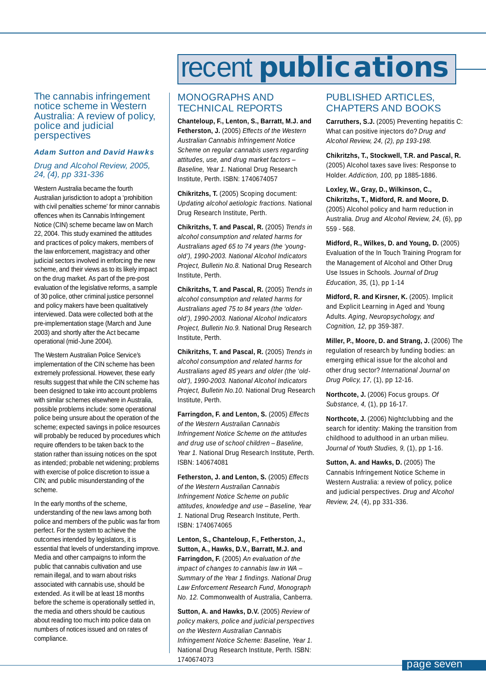<span id="page-6-0"></span>The cannabis infringement notice scheme in Western Australia: A review of policy, police and judicial perspectives

#### *Adam Sutton and David Hawks*

### *Drug and Alcohol Review, 2005, 24, (4), pp 331-336*

Western Australia became the fourth Australian jurisdiction to adopt a 'prohibition with civil penalties scheme' for minor cannabis offences when its Cannabis Infringement Notice (CIN) scheme became law on March 22, 2004. This study examined the attitudes and practices of policy makers, members of the law enforcement, magistracy and other judicial sectors involved in enforcing the new scheme, and their views as to its likely impact on the drug market. As part of the pre-post evaluation of the legislative reforms, a sample of 30 police, other criminal justice personnel and policy makers have been qualitatively interviewed. Data were collected both at the pre-implementation stage (March and June 2003) and shortly after the Act became operational (mid-June 2004).

The Western Australian Police Service's implementation of the CIN scheme has been extremely professional. However, these early results suggest that while the CIN scheme has been designed to take into account problems with similar schemes elsewhere in Australia, possible problems include: some operational police being unsure about the operation of the scheme; expected savings in police resources will probably be reduced by procedures which require offenders to be taken back to the station rather than issuing notices on the spot as intended; probable net widening; problems with exercise of police discretion to issue a CIN; and public misunderstanding of the scheme.

In the early months of the scheme, understanding of the new laws among both police and members of the public was far from perfect. For the system to achieve the outcomes intended by legislators, it is essential that levels of understanding improve. Media and other campaigns to inform the public that cannabis cultivation and use remain illegal, and to warn about risks associated with cannabis use, should be extended. As it will be at least 18 months before the scheme is operationally settled in, the media and others should be cautious about reading too much into police data on numbers of notices issued and on rates of compliance.

## recent **publications**

### MONOGRAPHS AND TECHNICAL REPORTS

**Chanteloup, F., Lenton, S., Barratt, M.J. and Fetherston, J.** (2005) *Effects of the Western Australian Cannabis Infringement Notice Scheme on regular cannabis users regarding attitudes, use, and drug market factors – Baseline, Year 1.* National Drug Research Institute, Perth. ISBN: 1740674057

**Chikritzhs, T.** (2005) Scoping document: *Updating alcohol aetiologic fractions.* National Drug Research Institute, Perth.

**Chikritzhs, T. and Pascal, R.** (2005) *Trends in alcohol consumption and related harms for Australians aged 65 to 74 years (the 'youngold'), 1990-2003. National Alcohol Indicators Project, Bulletin No.8.* National Drug Research Institute, Perth.

**Chikritzhs, T. and Pascal, R.** (2005) *Trends in alcohol consumption and related harms for Australians aged 75 to 84 years (the 'olderold'), 1990-2003. National Alcohol Indicators Project, Bulletin No.9.* National Drug Research Institute, Perth.

**Chikritzhs, T. and Pascal, R.** (2005) *Trends in alcohol consumption and related harms for Australians aged 85 years and older (the 'oldold'), 1990-2003. National Alcohol Indicators Project, Bulletin No.10.* National Drug Research Institute, Perth.

**Farringdon, F. and Lenton, S.** (2005) *Effects of the Western Australian Cannabis Infringement Notice Scheme on the attitudes and drug use of school children – Baseline, Year 1.* National Drug Research Institute, Perth. ISBN: 140674081

**Fetherston, J. and Lenton, S.** (2005) *Effects of the Western Australian Cannabis Infringement Notice Scheme on public attitudes, knowledge and use – Baseline, Year 1.* National Drug Research Institute, Perth. ISBN: 1740674065

**Lenton, S., Chanteloup, F., Fetherston, J., Sutton, A., Hawks, D.V., Barratt, M.J. and Farringdon, F.** (2005) *An evaluation of the impact of changes to cannabis law in WA – Summary of the Year 1 findings. National Drug Law Enforcement Research Fund, Monograph No. 12.* Commonwealth of Australia, Canberra.

**Sutton, A. and Hawks, D.V.** (2005) *Review of policy makers, police and judicial perspectives on the Western Australian Cannabis Infringement Notice Scheme: Baseline, Year 1.* National Drug Research Institute, Perth. ISBN: 1740674073

### PUBLISHED ARTICLES, CHAPTERS AND BOOKS

**Carruthers, S.J.** (2005) Preventing hepatitis C: What can positive injectors do? *Drug and Alcohol Review, 24, (2), pp 193-198.*

**Chikritzhs, T., Stockwell, T.R. and Pascal, R.** (2005) Alcohol taxes save lives: Response to Holder. *Addiction, 100,* pp 1885-1886.

**Loxley, W., Gray, D., Wilkinson, C., Chikritzhs, T., Midford, R. and Moore, D.** (2005) Alcohol policy and harm reduction in Australia. *Drug and Alcohol Review, 24,* (6), pp 559 - 568.

**Midford, R., Wilkes, D. and Young, D.** (2005) Evaluation of the In Touch Training Program for the Management of Alcohol and Other Drug Use Issues in Schools. *Journal of Drug Education, 35,* (1), pp 1-14

**Midford, R. and Kirsner, K.** (2005). Implicit and Explicit Learning in Aged and Young Adults. *Aging, Neuropsychology, and Cognition, 12,* pp 359-387.

**Miller, P., Moore, D. and Strang, J.** (2006) The regulation of research by funding bodies: an emerging ethical issue for the alcohol and other drug sector? *International Journal on Drug Policy, 17,* (1), pp 12-16.

**Northcote, J.** (2006) Focus groups. *Of Substance, 4,* (1), pp 16-17.

**Northcote, J.** (2006) Nightclubbing and the search for identity: Making the transition from childhood to adulthood in an urban milieu. *Journal of Youth Studies, 9,* (1), pp 1-16.

**Sutton, A. and Hawks, D.** (2005) The Cannabis Infringement Notice Scheme in Western Australia: a review of policy, police and judicial perspectives. *Drug and Alcohol Review, 24,* (4), pp 331-336.